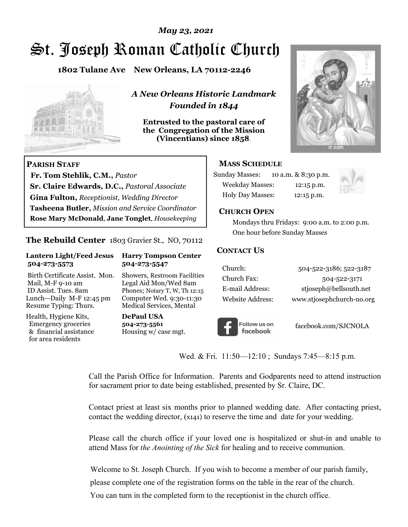# *May 23, 2021*

# St. Joseph Roman Catholic Church

**1802 Tulane Ave New Orleans, LA 70112-2246**



*A New Orleans Historic Landmark Founded in 1844* 

**Entrusted to the pastoral care of the Congregation of the Mission (Vincentians) since 1858**.



### **MASS SCHEDULE**

| <b>Sunday Masses:</b>   | 10 a.m. & 8:30 p.m. |
|-------------------------|---------------------|
| <b>Weekday Masses:</b>  | $12:15$ p.m.        |
| <b>Holy Day Masses:</b> | $12:15$ p.m.        |



### **CHURCH OPEN**

 Mondays thru Fridays: 9:00 a.m. to 2:00 p.m. One hour before Sunday Masses

### **CONTACT US**

| Church:          | 504-522-3186; 522-3187    |
|------------------|---------------------------|
| Church Fax:      | 504-522-3171              |
| E-mail Address:  | stjoseph@bellsouth.net    |
| Website Address: | www.stjosephchurch-no.org |



facebook.com/SJCNOLA

Wed. & Fri. 11:50—12:10; Sundays 7:45—8:15 p.m.

**Baptisms** Call the Parish Office for Information. Parents and Godparents need to attend instruction for sacrament prior to date being established, presented by Sr. Claire, DC.

Contact priest at least six months prior to planned wedding date. After contacting priest, contact the wedding director, (x141) to reserve the time and date for your wedding.

Please call the church office if your loved one is hospitalized or shut-in and unable to attend Mass for *the Anointing of the Sick* for healing and to receive communion.

Welcome to St. Joseph Church. If you wish to become a member of our parish family,

please complete one of the registration forms on the table in the rear of the church.

You can turn in the completed form to the receptionist in the church office.

# **PARISH STAFF**

 **Fr. Tom Stehlik, C.M.,** *Pastor* **Sr. Claire Edwards, D.C.,** *Pastoral Associate* **Gina Fulton,** *Receptionist, Wedding Director* **Tasheena Butler,** *Mission and Service Coordinator* **Rose Mary McDonald**, **Jane Tonglet**, *Housekeeping*

### **The Rebuild Center** 1803 Gravier St., NO, 70112

#### **Lantern Light/Feed Jesus Harry Tompson Center 504-273-5573 504-273-5547**

Birth Certificate Assist. Mon. Showers, Restroom Facilities Mail, M-F 9-10 am Legal Aid Mon/Wed 8am ID Assist. Tues. 8am Phones; Notary T, W, Th 12:15 Lunch—Daily M-F 12:45 pm Computer Wed. 9:30-11:30 Resume Typing: Thurs. Medical Services, Mental

Health, Hygiene Kits, **DePaul USA**  Emergency groceries **504-273-5561** & financial assistance Housing w/ case mgt. for area residents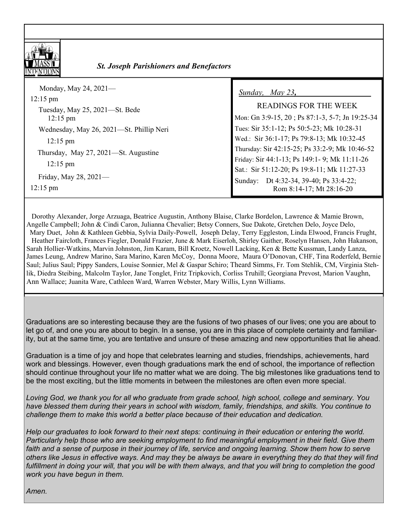

### *<u>St. Joseph Parishioners and Benefactors</u>*

| Monday, May 24, $2021$ —<br>$12:15 \text{ pm}$<br>Tuesday, May 25, 2021—St. Bede<br>$12:15 \text{ pm}$<br>Wednesday, May 26, 2021—St. Phillip Neri<br>$12:15 \text{ pm}$<br>Thursday, May 27, 2021—St. Augustine<br>$12:15 \text{ pm}$<br>Friday, May 28, 2021- | Sunday, May 23,<br><b>READINGS FOR THE WEEK</b><br>Mon: Gn 3:9-15, 20; Ps 87:1-3, 5-7; Jn 19:25-34<br>Tues: Sir 35:1-12; Ps 50:5-23; Mk 10:28-31<br>Wed.: Sir 36:1-17; Ps 79:8-13; Mk 10:32-45<br>Thursday: Sir 42:15-25; Ps 33:2-9; Mk 10:46-52<br>Friday: Sir 44:1-13; Ps 149:1-9; Mk 11:11-26<br>Sat.: Sir 51:12-20; Ps 19:8-11; Mk 11:27-33 |
|-----------------------------------------------------------------------------------------------------------------------------------------------------------------------------------------------------------------------------------------------------------------|-------------------------------------------------------------------------------------------------------------------------------------------------------------------------------------------------------------------------------------------------------------------------------------------------------------------------------------------------|
| $12:15 \text{ pm}$                                                                                                                                                                                                                                              | Sunday: Dt 4:32-34, 39-40; Ps 33:4-22;<br>Rom 8:14-17; Mt 28:16-20                                                                                                                                                                                                                                                                              |

 Dorothy Alexander, Jorge Arzuaga, Beatrice Augustin, Anthony Blaise, Clarke Bordelon, Lawrence & Mamie Brown, Angelle Campbell; John & Cindi Caron, Julianna Chevalier; Betsy Conners, Sue Dakote, Gretchen Delo, Joyce Delo, Mary Duet, John & Kathleen Gebbia, Sylvia Daily-Powell, Joseph Delay, Terry Eggleston, Linda Elwood, Francis Frught, Heather Faircloth, Frances Fiegler, Donald Frazier, June & Mark Eiserloh, Shirley Gaither, Roselyn Hansen, John Hakanson, Sarah Hollier-Watkins, Marvin Johnston, Jim Karam, Bill Kroetz, Nowell Lacking, Ken & Bette Kussman, Landy Lanza, James Leung, Andrew Marino, Sara Marino, Karen McCoy, Donna Moore, Maura O'Donovan, CHF, Tina Roderfeld, Bernie Saul; Julius Saul; Pippy Sanders, Louise Sonnier, Mel & Gaspar Schiro; Theard Simms, Fr. Tom Stehlik, CM, Virginia Stehlik, Diedra Steibing, Malcolm Taylor, Jane Tonglet, Fritz Tripkovich, Corliss Truhill; Georgiana Prevost, Marion Vaughn, Ann Wallace; Juanita Ware, Cathleen Ward, Warren Webster, Mary Willis, Lynn Williams.

Graduations are so interesting because they are the fusions of two phases of our lives; one you are about to let go of, and one you are about to begin. In a sense, you are in this place of complete certainty and familiarity, but at the same time, you are tentative and unsure of these amazing and new opportunities that lie ahead.

Graduation is a time of joy and hope that celebrates learning and studies, friendships, achievements, hard work and blessings. However, even though graduations mark the end of school, the importance of reflection should continue throughout your life no matter what we are doing. The big milestones like graduations tend to be the most exciting, but the little moments in between the milestones are often even more special.

*Loving God, we thank you for all who graduate from grade school, high school, college and seminary. You have blessed them during their years in school with wisdom, family, friendships, and skills. You continue to challenge them to make this world a better place because of their education and dedication.* 

*Help our graduates to look forward to their next steps: continuing in their education or entering the world. Particularly help those who are seeking employment to find meaningful employment in their field. Give them*  faith and a sense of purpose in their journey of life, service and ongoing learning. Show them how to serve *others like Jesus in effective ways. And may they be always be aware in everything they do that they will find fulfillment in doing your will, that you will be with them always, and that you will bring to completion the good work you have begun in them.* 

*Amen.*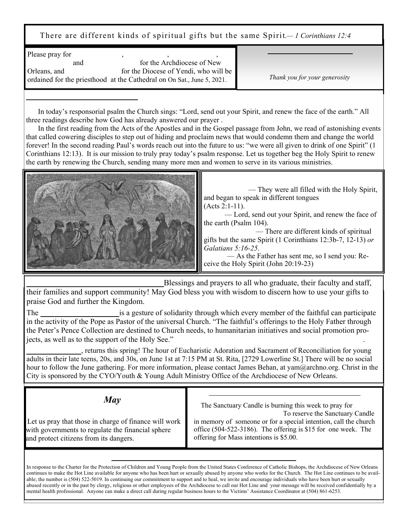There are different kinds of spiritual gifts but the same Spirit.*— 1 Corinthians 12:4*

| for the Archdiocese of New<br>and<br>for the Diocese of Yendi, who will be |                               |
|----------------------------------------------------------------------------|-------------------------------|
| Orleans, and                                                               |                               |
| ordained for the priesthood at the Cathedral on On Sat., June 5, 2021.     | Thank you for your generosity |

 In today's responsorial psalm the Church sings: "Lord, send out your Spirit, and renew the face of the earth." All three readings describe how God has already answered our prayer .

 In the first reading from the Acts of the Apostles and in the Gospel passage from John, we read of astonishing events that called cowering disciples to step out of hiding and proclaim news that would condemn them and change the world forever! In the second reading Paul's words reach out into the future to us: "we were all given to drink of one Spirit" (1 Corinthians 12:13). It is our mission to truly pray today's psalm response. Let us together beg the Holy Spirit to renew the earth by renewing the Church, sending many more men and women to serve in its various ministries.



Blessings and prayers to all who graduate, their faculty and staff, their families and support community! May God bless you with wisdom to discern how to use your gifts to praise God and further the Kingdom.

The **Peter's Perfection is a gesture of solidarity through which every member of the faithful can participate** in the activity of the Pope as Pastor of the universal Church. "The faithful's offerings to the Holy Father through the Peter's Pence Collection are destined to Church needs, to humanitarian initiatives and social promotion projects, as well as to the support of the Holy See."

**Christ in the City**, returns this spring! The hour of Eucharistic Adoration and Sacrament of Reconciliation for young adults in their late teens, 20s, and 30s, on June 1st at 7:15 PM at St. Rita, [2729 Lowerline St.] There will be no social hour to follow the June gathering. For more information, please contact James Behan, at yam@archno.org. Christ in the City is sponsored by the CYO/Youth & Young Adult Ministry Office of the Archdiocese of New Orleans.

*May* 

 Let us pray that those in charge of finance will work with governments to regulate the financial sphere and protect citizens from its dangers.

**LORD, SEND OUT YOUR SPIRIT** 

The Sanctuary Candle is burning this week to pray for To reserve the Sanctuary Candle in memory of someone or for a special intention, call the church office (504-522-3186). The offering is \$15 for one week. The offering for Mass intentions is \$5.00.

**SANCTUARY CANDLE AND MASS INTENTIONS**

In response to the Charter for the Protection of Children and Young People from the United States Conference of Catholic Bishops, the Archdiocese of New Orleans continues to make the Hot Line available for anyone who has been hurt or sexually abused by anyone who works for the Church. The Hot Line continues to be available; the number is (504) 522-5019. In continuing our commitment to support and to heal, we invite and encourage individuals who have been hurt or sexually abused recently or in the past by clergy, religious or other employees of the Archdiocese to call our Hot Line and your message will be received confidentially by a mental health professional. Anyone can make a direct call during regular business hours to the Victims' Assistance Coordinator at (504) 861-6253.

**CHARTER FOR THE PROTECTION OF CHILDREN AND YOUNG PEOPLE**